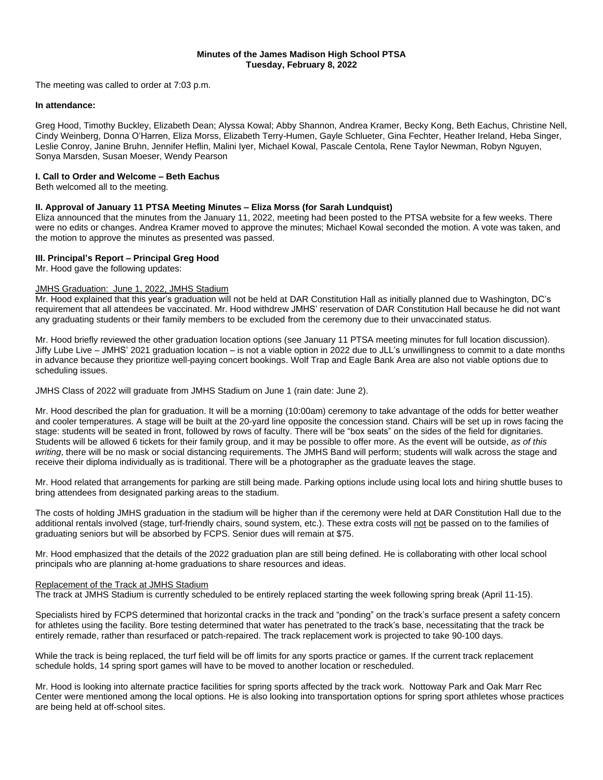# **Minutes of the James Madison High School PTSA Tuesday, February 8, 2022**

The meeting was called to order at 7:03 p.m.

## **In attendance:**

Greg Hood, Timothy Buckley, Elizabeth Dean; Alyssa Kowal; Abby Shannon, Andrea Kramer, Becky Kong, Beth Eachus, Christine Nell, Cindy Weinberg, Donna O'Harren, Eliza Morss, Elizabeth Terry-Humen, Gayle Schlueter, Gina Fechter, Heather Ireland, Heba Singer, Leslie Conroy, Janine Bruhn, Jennifer Heflin, Malini Iyer, Michael Kowal, Pascale Centola, Rene Taylor Newman, Robyn Nguyen, Sonya Marsden, Susan Moeser, Wendy Pearson

# **I. Call to Order and Welcome – Beth Eachus**

Beth welcomed all to the meeting.

## **II. Approval of January 11 PTSA Meeting Minutes – Eliza Morss (for Sarah Lundquist)**

Eliza announced that the minutes from the January 11, 2022, meeting had been posted to the PTSA website for a few weeks. There were no edits or changes. Andrea Kramer moved to approve the minutes; Michael Kowal seconded the motion. A vote was taken, and the motion to approve the minutes as presented was passed.

## **III. Principal's Report – Principal Greg Hood**

Mr. Hood gave the following updates:

## JMHS Graduation: June 1, 2022, JMHS Stadium

Mr. Hood explained that this year's graduation will not be held at DAR Constitution Hall as initially planned due to Washington, DC's requirement that all attendees be vaccinated. Mr. Hood withdrew JMHS' reservation of DAR Constitution Hall because he did not want any graduating students or their family members to be excluded from the ceremony due to their unvaccinated status.

Mr. Hood briefly reviewed the other graduation location options (see January 11 PTSA meeting minutes for full location discussion). Jiffy Lube Live – JMHS' 2021 graduation location – is not a viable option in 2022 due to JLL's unwillingness to commit to a date months in advance because they prioritize well-paying concert bookings. Wolf Trap and Eagle Bank Area are also not viable options due to scheduling issues.

JMHS Class of 2022 will graduate from JMHS Stadium on June 1 (rain date: June 2).

Mr. Hood described the plan for graduation. It will be a morning (10:00am) ceremony to take advantage of the odds for better weather and cooler temperatures. A stage will be built at the 20-yard line opposite the concession stand. Chairs will be set up in rows facing the stage: students will be seated in front, followed by rows of faculty. There will be "box seats" on the sides of the field for dignitaries. Students will be allowed 6 tickets for their family group, and it may be possible to offer more. As the event will be outside, *as of this writing*, there will be no mask or social distancing requirements. The JMHS Band will perform; students will walk across the stage and receive their diploma individually as is traditional. There will be a photographer as the graduate leaves the stage.

Mr. Hood related that arrangements for parking are still being made. Parking options include using local lots and hiring shuttle buses to bring attendees from designated parking areas to the stadium.

The costs of holding JMHS graduation in the stadium will be higher than if the ceremony were held at DAR Constitution Hall due to the additional rentals involved (stage, turf-friendly chairs, sound system, etc.). These extra costs will not be passed on to the families of graduating seniors but will be absorbed by FCPS. Senior dues will remain at \$75.

Mr. Hood emphasized that the details of the 2022 graduation plan are still being defined. He is collaborating with other local school principals who are planning at-home graduations to share resources and ideas.

### Replacement of the Track at JMHS Stadium

The track at JMHS Stadium is currently scheduled to be entirely replaced starting the week following spring break (April 11-15).

Specialists hired by FCPS determined that horizontal cracks in the track and "ponding" on the track's surface present a safety concern for athletes using the facility. Bore testing determined that water has penetrated to the track's base, necessitating that the track be entirely remade, rather than resurfaced or patch-repaired. The track replacement work is projected to take 90-100 days.

While the track is being replaced, the turf field will be off limits for any sports practice or games. If the current track replacement schedule holds, 14 spring sport games will have to be moved to another location or rescheduled.

Mr. Hood is looking into alternate practice facilities for spring sports affected by the track work. Nottoway Park and Oak Marr Rec Center were mentioned among the local options. He is also looking into transportation options for spring sport athletes whose practices are being held at off-school sites.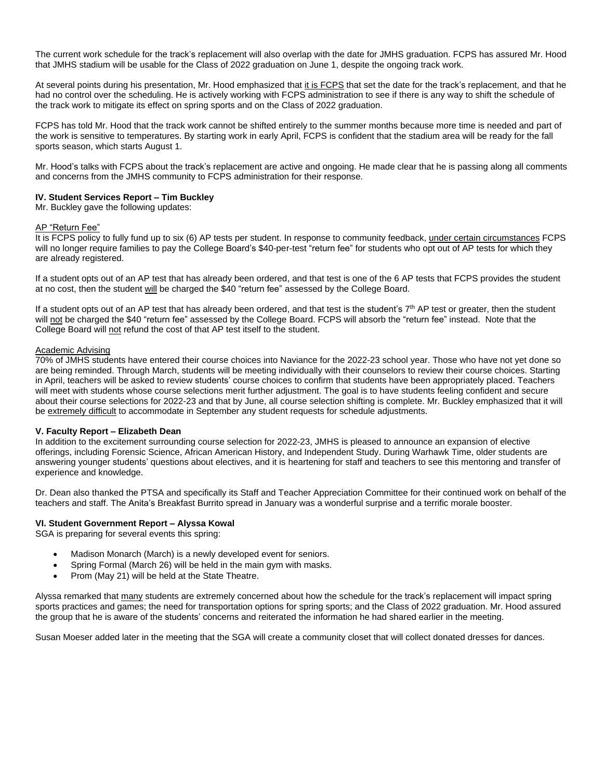The current work schedule for the track's replacement will also overlap with the date for JMHS graduation. FCPS has assured Mr. Hood that JMHS stadium will be usable for the Class of 2022 graduation on June 1, despite the ongoing track work.

At several points during his presentation, Mr. Hood emphasized that it is FCPS that set the date for the track's replacement, and that he had no control over the scheduling. He is actively working with FCPS administration to see if there is any way to shift the schedule of the track work to mitigate its effect on spring sports and on the Class of 2022 graduation.

FCPS has told Mr. Hood that the track work cannot be shifted entirely to the summer months because more time is needed and part of the work is sensitive to temperatures. By starting work in early April, FCPS is confident that the stadium area will be ready for the fall sports season, which starts August 1.

Mr. Hood's talks with FCPS about the track's replacement are active and ongoing. He made clear that he is passing along all comments and concerns from the JMHS community to FCPS administration for their response.

# **IV. Student Services Report – Tim Buckley**

Mr. Buckley gave the following updates:

### AP "Return Fee"

It is FCPS policy to fully fund up to six (6) AP tests per student. In response to community feedback, under certain circumstances FCPS will no longer require families to pay the College Board's \$40-per-test "return fee" for students who opt out of AP tests for which they are already registered.

If a student opts out of an AP test that has already been ordered, and that test is one of the 6 AP tests that FCPS provides the student at no cost, then the student will be charged the \$40 "return fee" assessed by the College Board.

If a student opts out of an AP test that has already been ordered, and that test is the student's  $7<sup>th</sup>$  AP test or greater, then the student will not be charged the \$40 "return fee" assessed by the College Board. FCPS will absorb the "return fee" instead. Note that the College Board will not refund the cost of that AP test itself to the student.

### Academic Advising

70% of JMHS students have entered their course choices into Naviance for the 2022-23 school year. Those who have not yet done so are being reminded. Through March, students will be meeting individually with their counselors to review their course choices. Starting in April, teachers will be asked to review students' course choices to confirm that students have been appropriately placed. Teachers will meet with students whose course selections merit further adjustment. The goal is to have students feeling confident and secure about their course selections for 2022-23 and that by June, all course selection shifting is complete. Mr. Buckley emphasized that it will be extremely difficult to accommodate in September any student requests for schedule adjustments.

### **V. Faculty Report – Elizabeth Dean**

In addition to the excitement surrounding course selection for 2022-23, JMHS is pleased to announce an expansion of elective offerings, including Forensic Science, African American History, and Independent Study. During Warhawk Time, older students are answering younger students' questions about electives, and it is heartening for staff and teachers to see this mentoring and transfer of experience and knowledge.

Dr. Dean also thanked the PTSA and specifically its Staff and Teacher Appreciation Committee for their continued work on behalf of the teachers and staff. The Anita's Breakfast Burrito spread in January was a wonderful surprise and a terrific morale booster.

### **VI. Student Government Report – Alyssa Kowal**

SGA is preparing for several events this spring:

- Madison Monarch (March) is a newly developed event for seniors.
- Spring Formal (March 26) will be held in the main gym with masks.
- Prom (May 21) will be held at the State Theatre.

Alyssa remarked that many students are extremely concerned about how the schedule for the track's replacement will impact spring sports practices and games; the need for transportation options for spring sports; and the Class of 2022 graduation. Mr. Hood assured the group that he is aware of the students' concerns and reiterated the information he had shared earlier in the meeting.

Susan Moeser added later in the meeting that the SGA will create a community closet that will collect donated dresses for dances.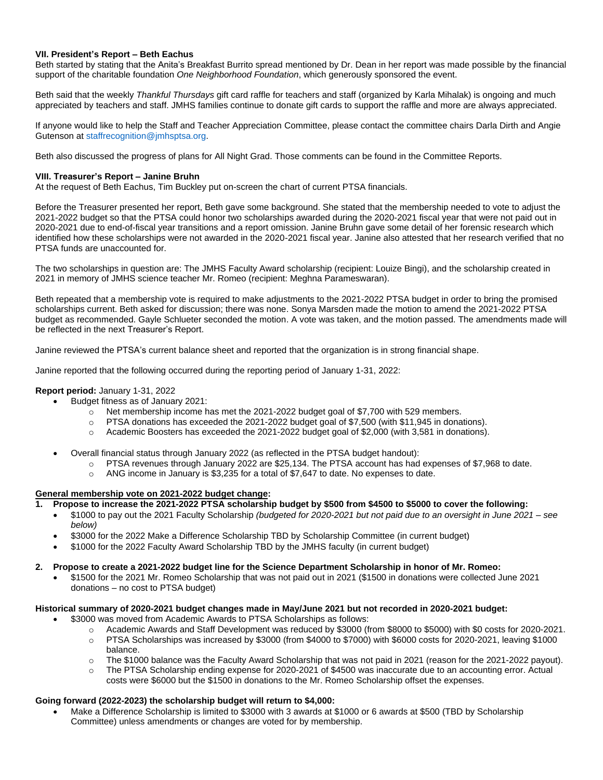# **VII. President's Report – Beth Eachus**

Beth started by stating that the Anita's Breakfast Burrito spread mentioned by Dr. Dean in her report was made possible by the financial support of the charitable foundation *One Neighborhood Foundation*, which generously sponsored the event.

Beth said that the weekly *Thankful Thursdays* gift card raffle for teachers and staff (organized by Karla Mihalak) is ongoing and much appreciated by teachers and staff. JMHS families continue to donate gift cards to support the raffle and more are always appreciated.

If anyone would like to help the Staff and Teacher Appreciation Committee, please contact the committee chairs Darla Dirth and Angie Gutenson at [staffrecognition@jmhsptsa.org.](mailto:staffrecognition@jmhsptsa.org)

Beth also discussed the progress of plans for All Night Grad. Those comments can be found in the Committee Reports.

# **VIII. Treasurer's Report – Janine Bruhn**

At the request of Beth Eachus, Tim Buckley put on-screen the chart of current PTSA financials.

Before the Treasurer presented her report, Beth gave some background. She stated that the membership needed to vote to adjust the 2021-2022 budget so that the PTSA could honor two scholarships awarded during the 2020-2021 fiscal year that were not paid out in 2020-2021 due to end-of-fiscal year transitions and a report omission. Janine Bruhn gave some detail of her forensic research which identified how these scholarships were not awarded in the 2020-2021 fiscal year. Janine also attested that her research verified that no PTSA funds are unaccounted for.

The two scholarships in question are: The JMHS Faculty Award scholarship (recipient: Louize Bingi), and the scholarship created in 2021 in memory of JMHS science teacher Mr. Romeo (recipient: Meghna Parameswaran).

Beth repeated that a membership vote is required to make adjustments to the 2021-2022 PTSA budget in order to bring the promised scholarships current. Beth asked for discussion; there was none. Sonya Marsden made the motion to amend the 2021-2022 PTSA budget as recommended. Gayle Schlueter seconded the motion. A vote was taken, and the motion passed. The amendments made will be reflected in the next Treasurer's Report.

Janine reviewed the PTSA's current balance sheet and reported that the organization is in strong financial shape.

Janine reported that the following occurred during the reporting period of January 1-31, 2022:

# **Report period:** January 1-31, 2022

- Budget fitness as of January 2021:
	- $\circ$  Net membership income has met the 2021-2022 budget goal of \$7,700 with 529 members.
	- $\circ$  PTSA donations has exceeded the 2021-2022 budget goal of \$7,500 (with \$11,945 in donations).
	- $\circ$  Academic Boosters has exceeded the 2021-2022 budget goal of \$2,000 (with 3,581 in donations).
- Overall financial status through January 2022 (as reflected in the PTSA budget handout):
	- o PTSA revenues through January 2022 are \$25,134. The PTSA account has had expenses of \$7,968 to date.
		- $\circ$  ANG income in January is \$3,235 for a total of \$7,647 to date. No expenses to date.

## **General membership vote on 2021-2022 budget change:**

- Propose to increase the 2021-2022 PTSA scholarship budget by \$500 from \$4500 to \$5000 to cover the following:
	- \$1000 to pay out the 2021 Faculty Scholarship (budgeted for 2020-2021 but not paid due to an oversight in June 2021 see *below)*
	- \$3000 for the 2022 Make a Difference Scholarship TBD by Scholarship Committee (in current budget)
	- \$1000 for the 2022 Faculty Award Scholarship TBD by the JMHS faculty (in current budget)

2. Propose to create a 2021-2022 budget line for the Science Department Scholarship in honor of Mr. Romeo:

• \$1500 for the 2021 Mr. Romeo Scholarship that was not paid out in 2021 (\$1500 in donations were collected June 2021 donations – no cost to PTSA budget)

### **Historical summary of 2020-2021 budget changes made in May/June 2021 but not recorded in 2020-2021 budget:**

- \$3000 was moved from Academic Awards to PTSA Scholarships as follows:
	- o Academic Awards and Staff Development was reduced by \$3000 (from \$8000 to \$5000) with \$0 costs for 2020-2021.
	- o PTSA Scholarships was increased by \$3000 (from \$4000 to \$7000) with \$6000 costs for 2020-2021, leaving \$1000 balance.
	- $\circ$  The \$1000 balance was the Faculty Award Scholarship that was not paid in 2021 (reason for the 2021-2022 payout).
	- o The PTSA Scholarship ending expense for 2020-2021 of \$4500 was inaccurate due to an accounting error. Actual costs were \$6000 but the \$1500 in donations to the Mr. Romeo Scholarship offset the expenses.

# **Going forward (2022-2023) the scholarship budget will return to \$4,000:**

• Make a Difference Scholarship is limited to \$3000 with 3 awards at \$1000 or 6 awards at \$500 (TBD by Scholarship Committee) unless amendments or changes are voted for by membership.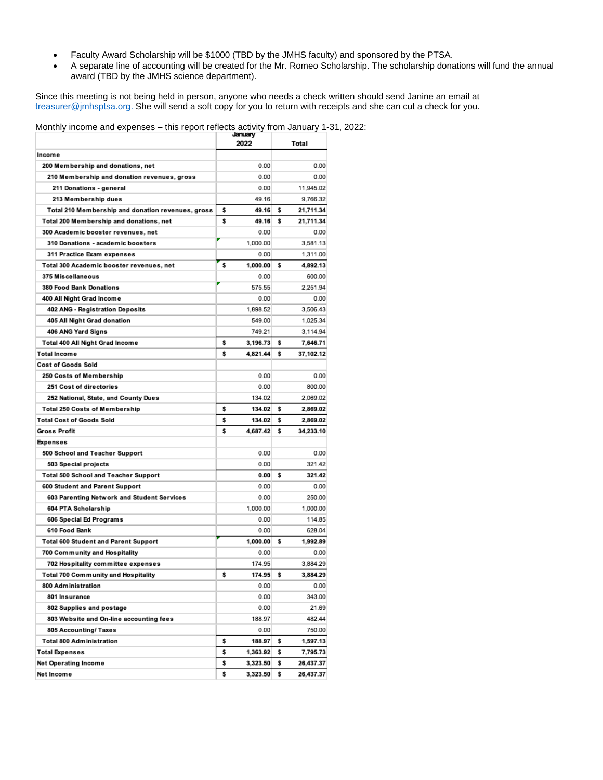- Faculty Award Scholarship will be \$1000 (TBD by the JMHS faculty) and sponsored by the PTSA.
- A separate line of accounting will be created for the Mr. Romeo Scholarship. The scholarship donations will fund the annual award (TBD by the JMHS science department).

Since this meeting is not being held in person, anyone who needs a check written should send Janine an email at [treasurer@jmhsptsa.org.](mailto:treasurer@jmhsptsa.org) She will send a soft copy for you to return with receipts and she can cut a check for you.

| <b>MONUME MOONIG and CAPCHOCS</b><br>and report reneats additing from barraary |    | January<br>2022 |    | Total     |  |
|--------------------------------------------------------------------------------|----|-----------------|----|-----------|--|
| Income                                                                         |    |                 |    |           |  |
| 200 Membership and donations, net                                              |    | 0.00            |    | 0.00      |  |
| 210 Membership and donation revenues, gross                                    |    | 0.00            |    | 0.00      |  |
| 211 Donations - general                                                        |    | 0.00            |    | 11,945.02 |  |
| 213 Membership dues                                                            |    | 49.16           |    | 9,766.32  |  |
| Total 210 Membership and donation revenues, gross                              | \$ | 49.16           | \$ | 21,711.34 |  |
| Total 200 Membership and donations, net                                        | \$ | 49.16           | s  | 21,711.34 |  |
| 300 Academic booster revenues, net                                             |    | 0.00            |    | 0.00      |  |
| 310 Donations - academic boosters                                              |    | 1.000.00        |    | 3,581.13  |  |
| 311 Practice Exam expenses                                                     |    | 0.00            |    | 1,311.00  |  |
| Total 300 Academic booster revenues, net                                       | \$ | 1,000.00        | s  | 4,892.13  |  |
| 375 Miscellaneous                                                              |    | 0.00            |    | 600.00    |  |
| <b>380 Food Bank Donations</b>                                                 |    | 575.55          |    | 2,251.94  |  |
| 400 All Night Grad Income                                                      |    | 0.00            |    | 0.00      |  |
| 402 ANG - Registration Deposits                                                |    | 1,898.52        |    | 3,506.43  |  |
| 405 All Night Grad donation                                                    |    | 549.00          |    | 1,025.34  |  |
| 406 ANG Yard Signs                                                             |    | 749.21          |    | 3,114.94  |  |
| Total 400 All Night Grad Income                                                | \$ | 3,196.73        | \$ | 7,646.71  |  |
| <b>Total Income</b>                                                            | \$ | 4,821.44        | s  | 37,102.12 |  |
| <b>Cost of Goods Sold</b>                                                      |    |                 |    |           |  |
| 250 Costs of Membership                                                        |    | 0.00            |    | 0.00      |  |
| 251 Cost of directories                                                        |    | 0.00            |    | 800.00    |  |
| 252 National, State, and County Dues                                           |    | 134.02          |    | 2,069.02  |  |
|                                                                                | \$ | 134.02          | \$ | 2,869.02  |  |
| <b>Total 250 Costs of Membership</b>                                           |    |                 |    |           |  |
| <b>Total Cost of Goods Sold</b>                                                | \$ | 134.02          | s  | 2,869.02  |  |
| <b>Gross Profit</b>                                                            | s  | 4,687.42        | s  | 34,233.10 |  |
| <b>Expenses</b>                                                                |    |                 |    |           |  |
| 500 School and Teacher Support                                                 |    | 0.00            |    | 0.00      |  |
| 503 Special projects                                                           |    | 0.00            |    | 321.42    |  |
| <b>Total 500 School and Teacher Support</b>                                    |    | 0.00            | s  | 321.42    |  |
| 600 Student and Parent Support                                                 |    | 0.00            |    | 0.00      |  |
| 603 Parenting Network and Student Services                                     |    | 0.00            |    | 250.00    |  |
| 604 PTA Scholarship                                                            |    | 1,000.00        |    | 1,000.00  |  |
| 606 Special Ed Programs                                                        |    | 0.00            |    | 114.85    |  |
| 610 Food Bank                                                                  |    | 0.00            |    | 628.04    |  |
| <b>Total 600 Student and Parent Support</b>                                    |    | 1,000.00        | s  | 1,992.89  |  |
| 700 Community and Hospitality                                                  |    | 0.00            |    | 0.00      |  |
| 702 Hospitality committee expenses                                             |    | 174.95          |    | 3,884.29  |  |
| Total 700 Community and Hospitality                                            | \$ | 174.95          | s  | 3,884.29  |  |
| 800 Administration                                                             |    | 0.00            |    | 0.00      |  |
| 801 Insurance                                                                  |    | 0.00            |    | 343.00    |  |
| 802 Supplies and postage                                                       |    | 0.00            |    | 21.69     |  |
| 803 Website and On-line accounting fees                                        |    | 188.97          |    | 482.44    |  |
| 805 Accounting/ Taxes                                                          |    | 0.00            |    | 750.00    |  |
| <b>Total 800 Administration</b>                                                | \$ | 188.97          | \$ | 1,597.13  |  |
| Total Expenses                                                                 | \$ | 1,363.92        | \$ | 7,795.73  |  |
| Net Operating Income                                                           | \$ | 3,323.50        | \$ | 26,437.37 |  |

Monthly income and expenses – this report reflects activity from January 1-31, 2022: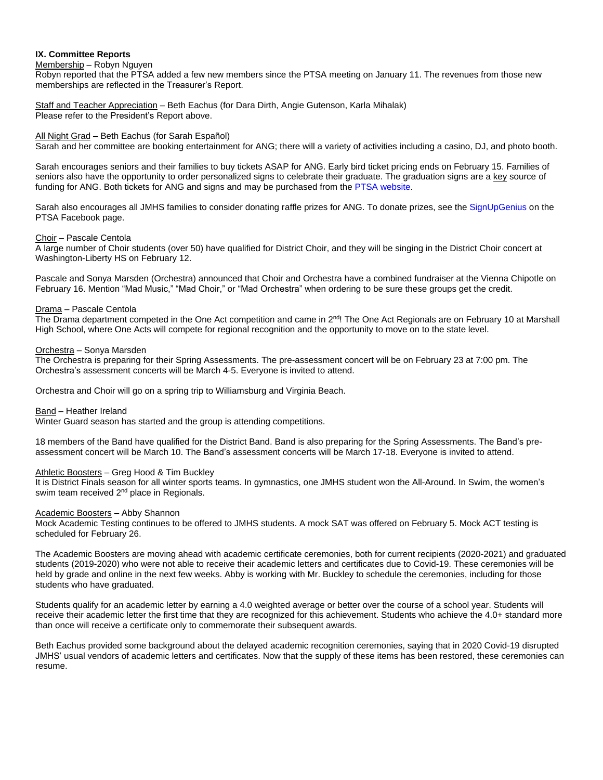# **IX. Committee Reports**

Membership – Robyn Nguyen

Robyn reported that the PTSA added a few new members since the PTSA meeting on January 11. The revenues from those new memberships are reflected in the Treasurer's Report.

Staff and Teacher Appreciation – Beth Eachus (for Dara Dirth, Angie Gutenson, Karla Mihalak) Please refer to the President's Report above.

## All Night Grad – Beth Eachus (for Sarah Español)

Sarah and her committee are booking entertainment for ANG; there will a variety of activities including a casino, DJ, and photo booth.

Sarah encourages seniors and their families to buy tickets ASAP for ANG. Early bird ticket pricing ends on February 15. Families of seniors also have the opportunity to order personalized signs to celebrate their graduate. The graduation signs are a key source of funding for ANG. Both tickets for ANG and signs and may be purchased from the PTSA [website.](https://jmhsptsa.us12.list-manage.com/track/click?u=61f8e218af754ad85e15854fa&id=5a045d47c1&e=90b4bc84d3)

Sarah also encourages all JMHS families to consider donating raffle prizes for ANG. To donate prizes, see the [SignUpGenius](https://www.signupgenius.com/go/8050e4ba5a72aa4f49-senior1) on the PTSA Facebook page.

## Choir – Pascale Centola

A large number of Choir students (over 50) have qualified for District Choir, and they will be singing in the District Choir concert at Washington-Liberty HS on February 12.

Pascale and Sonya Marsden (Orchestra) announced that Choir and Orchestra have a combined fundraiser at the Vienna Chipotle on February 16. Mention "Mad Music," "Mad Choir," or "Mad Orchestra" when ordering to be sure these groups get the credit.

## Drama – Pascale Centola

The Drama department competed in the One Act competition and came in 2<sup>nd</sup>! The One Act Regionals are on February 10 at Marshall High School, where One Acts will compete for regional recognition and the opportunity to move on to the state level.

## Orchestra – Sonya Marsden

The Orchestra is preparing for their Spring Assessments. The pre-assessment concert will be on February 23 at 7:00 pm. The Orchestra's assessment concerts will be March 4-5. Everyone is invited to attend.

Orchestra and Choir will go on a spring trip to Williamsburg and Virginia Beach.

### Band – Heather Ireland

Winter Guard season has started and the group is attending competitions.

18 members of the Band have qualified for the District Band. Band is also preparing for the Spring Assessments. The Band's preassessment concert will be March 10. The Band's assessment concerts will be March 17-18. Everyone is invited to attend.

# Athletic Boosters – Greg Hood & Tim Buckley

It is District Finals season for all winter sports teams. In gymnastics, one JMHS student won the All-Around. In Swim, the women's swim team received 2<sup>nd</sup> place in Regionals.

### Academic Boosters - Abby Shannon

Mock Academic Testing continues to be offered to JMHS students. A mock SAT was offered on February 5. Mock ACT testing is scheduled for February 26.

The Academic Boosters are moving ahead with academic certificate ceremonies, both for current recipients (2020-2021) and graduated students (2019-2020) who were not able to receive their academic letters and certificates due to Covid-19. These ceremonies will be held by grade and online in the next few weeks. Abby is working with Mr. Buckley to schedule the ceremonies, including for those students who have graduated.

Students qualify for an academic letter by earning a 4.0 weighted average or better over the course of a school year. Students will receive their academic letter the first time that they are recognized for this achievement. Students who achieve the 4.0+ standard more than once will receive a certificate only to commemorate their subsequent awards.

Beth Eachus provided some background about the delayed academic recognition ceremonies, saying that in 2020 Covid-19 disrupted JMHS' usual vendors of academic letters and certificates. Now that the supply of these items has been restored, these ceremonies can resume.